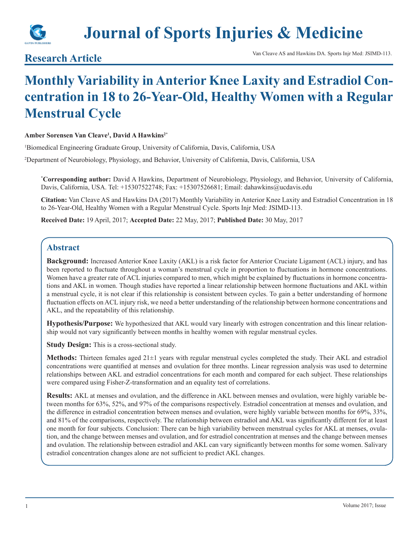

# **Journal of Sports Injuries & Medicine**

## **Monthly Variability in Anterior Knee Laxity and Estradiol Concentration in 18 to 26-Year-Old, Healthy Women with a Regular Menstrual Cycle**

#### **Amber Sorensen Van Cleave1 , David A Hawkins2\***

1 Biomedical Engineering Graduate Group, University of California, Davis, California, USA

2 Department of Neurobiology, Physiology, and Behavior, University of California, Davis, California, USA

**\* Corresponding author:** David A Hawkins, Department of Neurobiology, Physiology, and Behavior, University of California, Davis, California, USA. Tel: +15307522748; Fax: +15307526681; Email: dahawkins@ucdavis.edu

**Citation:** Van Cleave AS and Hawkins DA (2017) Monthly Variability in Anterior Knee Laxity and Estradiol Concentration in 18 to 26-Year-Old, Healthy Women with a Regular Menstrual Cycle. Sports Injr Med: JSIMD-113.

**Received Date:** 19 April, 2017; **Accepted Date:** 22 May, 2017; **Published Date:** 30 May, 2017

#### **Abstract**

**Background:** Increased Anterior Knee Laxity (AKL) is a risk factor for Anterior Cruciate Ligament (ACL) injury, and has been reported to fluctuate throughout a woman's menstrual cycle in proportion to fluctuations in hormone concentrations. Women have a greater rate of ACL injuries compared to men, which might be explained by fluctuations in hormone concentrations and AKL in women. Though studies have reported a linear relationship between hormone fluctuations and AKL within a menstrual cycle, it is not clear if this relationship is consistent between cycles. To gain a better understanding of hormone fluctuation effects on ACL injury risk, we need a better understanding of the relationship between hormone concentrations and AKL, and the repeatability of this relationship.

**Hypothesis/Purpose:** We hypothesized that AKL would vary linearly with estrogen concentration and this linear relationship would not vary significantly between months in healthy women with regular menstrual cycles.

**Study Design:** This is a cross-sectional study.

**Methods:** Thirteen females aged 21±1 years with regular menstrual cycles completed the study. Their AKL and estradiol concentrations were quantified at menses and ovulation for three months. Linear regression analysis was used to determine relationships between AKL and estradiol concentrations for each month and compared for each subject. These relationships were compared using Fisher-Z-transformation and an equality test of correlations.

**Results:** AKL at menses and ovulation, and the difference in AKL between menses and ovulation, were highly variable between months for 63%, 52%, and 97% of the comparisons respectively. Estradiol concentration at menses and ovulation, and the difference in estradiol concentration between menses and ovulation, were highly variable between months for 69%, 33%, and 81% of the comparisons, respectively. The relationship between estradiol and AKL was significantly different for at least one month for four subjects. Conclusion: There can be high variability between menstrual cycles for AKL at menses, ovulation, and the change between menses and ovulation, and for estradiol concentration at menses and the change between menses and ovulation. The relationship between estradiol and AKL can vary significantly between months for some women. Salivary estradiol concentration changes alone are not sufficient to predict AKL changes.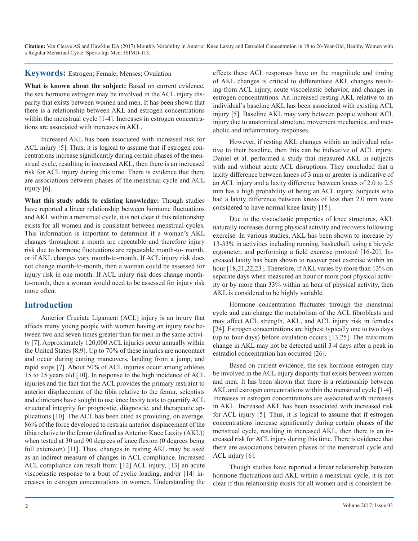#### **Keywords:** Estrogen; Female; Menses; Ovulation

What is known about the subject: Based on current evidence, the sex hormone estrogen may be involved in the ACL injury disparity that exists between women and men. It has been shown that there is a relationship between AKL and estrogen concentrations within the menstrual cycle [1-4]. Increases in estrogen concentrations are associated with increases in AKL.

Increased AKL has been associated with increased risk for ACL injury [5]. Thus, it is logical to assume that if estrogen concentrations increase significantly during certain phases of the menstrual cycle, resulting in increased AKL, then there is an increased risk for ACL injury during this time. There is evidence that there are associations between phases of the menstrual cycle and ACL injury [6].

**What this study adds to existing knowledge:** Though studies have reported a linear relationship between hormone fluctuations and AKL within a menstrual cycle, it is not clear if this relationship exists for all women and is consistent between menstrual cycles. This information is important to determine if a woman's AKL changes throughout a month are repeatable and therefore injury risk due to hormone fluctuations are repeatable month-to- month, or if AKL changes vary month-to-month. If ACL injury risk does not change month-to-month, then a woman could be assessed for injury risk in one month. If ACL injury risk does change monthto-month, then a woman would need to be assessed for injury risk more often.

#### **Introduction**

Anterior Cruciate Ligament (ACL) injury is an injury that affects many young people with women having an injury rate between two and seven times greater than for men in the same activity [7]. Approximately 120,000 ACL injuries occur annually within the United States [8,9]. Up to 70% of these injuries are noncontact and occur during cutting maneuvers, landing from a jump, and rapid stops [7]. About 50% of ACL injuries occur among athletes 15 to 25 years old [10]. In response to the high incidence of ACL injuries and the fact that the ACL provides the primary restraint to anterior displacement of the tibia relative to the femur, scientists and clinicians have sought to use knee laxity tests to quantify ACL structural integrity for prognostic, diagnostic, and therapeutic applications [10]. The ACL has been cited as providing, on average, 86% of the force developed to restrain anterior displacement of the tibia relative to the femur (defined as Anterior Knee Laxity (AKL)) when tested at 30 and 90 degrees of knee flexion (0 degrees being full extension) [11]. Thus, changes in resting AKL may be used as an indirect measure of changes in ACL compliance. Increased ACL compliance can result from: [12] ACL injury, [13] an acute viscoelastic response to a bout of cyclic loading, and/or [14] increases in estrogen concentrations in women. Understanding the

effects these ACL responses have on the magnitude and timing of AKL changes is critical to differentiate AKL changes resulting from ACL injury, acute viscoelastic behavior, and changes in estrogen concentrations. An increased resting AKL relative to an individual's baseline AKL has been associated with existing ACL injury [5]. Baseline AKL may vary between people without ACL injury due to anatomical structure, movement mechanics, and metabolic and inflammatory responses.

However, if resting AKL changes within an individual relative to their baseline, then this can be indicative of ACL injury. Daniel et al. performed a study that measured AKL in subjects with and without acute ACL disruptions. They concluded that a laxity difference between knees of 3 mm or greater is indicative of an ACL injury and a laxity difference between knees of 2.0 to 2.5 mm has a high probability of being an ACL injury. Subjects who had a laxity difference between knees of less than 2.0 mm were considered to have normal knee laxity [15].

Due to the viscoelastic properties of knee structures, AKL naturally increases during physical activity and recovers following exercise. In various studies, AKL has been shown to increase by 13-33% in activities including running, basketball, using a bicycle ergometer, and performing a field exercise protocol [16-20]. Increased laxity has been shown to recover post exercise within an hour [18,21,22,23]. Therefore, if AKL varies by more than 13% on separate days when measured an hour or more post physical activity or by more than 33% within an hour of physical activity, then AKL is considered to be highly variable.

Hormone concentration fluctuates through the menstrual cycle and can change the metabolism of the ACL fibroblasts and may affect ACL strength, AKL, and ACL injury risk in females [24]. Estrogen concentrations are highest typically one to two days (up to four days) before ovulation occurs [13,25]. The maximum change in AKL may not be detected until 3-4 days after a peak in estradiol concentration has occurred [26].

Based on current evidence, the sex hormone estrogen may be involved in the ACL injury disparity that exists between women and men. It has been shown that there is a relationship between AKL and estrogen concentrations within the menstrual cycle [1-4]. Increases in estrogen concentrations are associated with increases in AKL. Increased AKL has been associated with increased risk for ACL injury [5]. Thus, it is logical to assume that if estrogen concentrations increase significantly during certain phases of the menstrual cycle, resulting in increased AKL, then there is an increased risk for ACL injury during this time. There is evidence that there are associations between phases of the menstrual cycle and ACL injury [6].

Though studies have reported a linear relationship between hormone fluctuations and AKL within a menstrual cycle, it is not clear if this relationship exists for all women and is consistent be-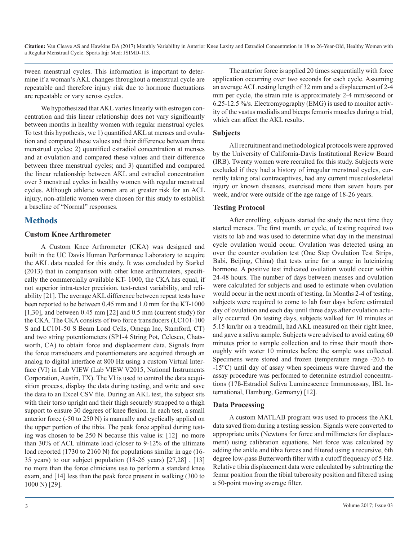tween menstrual cycles. This information is important to determine if a woman's AKL changes throughout a menstrual cycle are repeatable and therefore injury risk due to hormone fluctuations are repeatable or vary across cycles.

We hypothesized that AKL varies linearly with estrogen concentration and this linear relationship does not vary significantly between months in healthy women with regular menstrual cycles. To test this hypothesis, we 1) quantified AKL at menses and ovulation and compared these values and their difference between three menstrual cycles; 2) quantified estradiol concentration at menses and at ovulation and compared these values and their difference between three menstrual cycles; and 3) quantified and compared the linear relationship between AKL and estradiol concentration over 3 menstrual cycles in healthy women with regular menstrual cycles. Although athletic women are at greater risk for an ACL injury, non-athletic women were chosen for this study to establish a baseline of "Normal" responses.

### **Methods**

#### **Custom Knee Arthrometer**

A Custom Knee Arthrometer (CKA) was designed and built in the UC Davis Human Performance Laboratory to acquire the AKL data needed for this study. It was concluded by Starkel (2013) that in comparison with other knee arthrometers, specifically the commercially available KT- 1000, the CKA has equal, if not superior intra-tester precision, test-retest variability, and reliability [21]. The average AKL difference between repeat tests have been reported to be between 0.45 mm and 1.0 mm for the KT-1000 [1,30], and between 0.45 mm [22] and 0.5 mm (current study) for the CKA. The CKA consists of two force transducers (LC101-100 S and LC101-50 S Beam Load Cells, Omega Inc, Stamford, CT) and two string potentiometers (SP1-4 String Pot, Celesco, Chatsworth, CA) to obtain force and displacement data. Signals from the force transducers and potentiometers are acquired through an analog to digital interface at 800 Hz using a custom Virtual Interface (VI) in Lab VIEW (Lab VIEW V2015, National Instruments Corporation, Austin, TX). The VI is used to control the data acquisition process, display the data during testing, and write and save the data to an Excel CSV file. During an AKL test, the subject sits with their torso upright and their thigh securely strapped to a thigh support to ensure 30 degrees of knee flexion. In each test, a small anterior force (-50 to 250 N) is manually and cyclically applied on the upper portion of the tibia. The peak force applied during testing was chosen to be 250 N because this value is: [12] no more than 30% of ACL ultimate load (closer to 9-12% of the ultimate load reported (1730 to 2160 N) for populations similar in age (16- 35 years) to our subject population (18-26 years) [27,28] , [13] no more than the force clinicians use to perform a standard knee exam, and [14] less than the peak force present in walking (300 to 1000 N) [29].

The anterior force is applied 20 times sequentially with force application occurring over two seconds for each cycle. Assuming an average ACL resting length of 32 mm and a displacement of 2-4 mm per cycle, the strain rate is approximately 2-4 mm/second or 6.25-12.5 %/s. Electromyography (EMG) is used to monitor activity of the vastus medialis and biceps femoris muscles during a trial, which can affect the AKL results.

#### **Subjects**

All recruitment and methodological protocols were approved by the University of California-Davis Institutional Review Board (IRB). Twenty women were recruited for this study. Subjects were excluded if they had a history of irregular menstrual cycles, currently taking oral contraceptives, had any current musculoskeletal injury or known diseases, exercised more than seven hours per week, and/or were outside of the age range of 18-26 years.

#### **Testing Protocol**

After enrolling, subjects started the study the next time they started menses. The first month, or cycle, of testing required two visits to lab and was used to determine what day in the menstrual cycle ovulation would occur. Ovulation was detected using an over the counter ovulation test (One Step Ovulation Test Strips, Babi, Beijing, China) that tests urine for a surge in luteinizing hormone. A positive test indicated ovulation would occur within 24-48 hours. The number of days between menses and ovulation were calculated for subjects and used to estimate when ovulation would occur in the next month of testing. In Months 2-4 of testing, subjects were required to come to lab four days before estimated day of ovulation and each day until three days after ovulation actually occurred. On testing days, subjects walked for 10 minutes at 5.15 km/hr on a treadmill, had AKL measured on their right knee, and gave a saliva sample. Subjects were advised to avoid eating 60 minutes prior to sample collection and to rinse their mouth thoroughly with water 10 minutes before the sample was collected. Specimens were stored and frozen (temperature range -20.6 to -15°C) until day of assay when specimens were thawed and the assay procedure was performed to determine estradiol concentrations (17ß-Estradiol Saliva Luminescence Immunoassay, IBL International, Hamburg, Germany) [12].

#### **Data Processing**

A custom MATLAB program was used to process the AKL data saved from during a testing session. Signals were converted to appropriate units (Newtons for force and millimeters for displacement) using calibration equations. Net force was calculated by adding the ankle and tibia forces and filtered using a recursive, 6th degree low-pass Butterworth filter with a cutoff frequency of 5 Hz. Relative tibia displacement data were calculated by subtracting the femur position from the tibial tuberosity position and filtered using a 50-point moving average filter.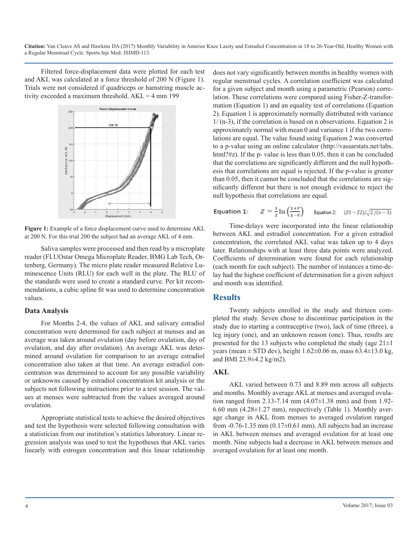Filtered force-displacement data were plotted for each test and AKL was calculated at a force threshold of 200 N (Figure 1). Trials were not considered if quadriceps or hamstring muscle activity exceeded a maximum threshold.  $AKL = 4$  mm 199



**Figure 1:** Example of a force displacement curve used to determine AKL at 200 N. For this trial 200 the subject had an average AKL of 4 mm.

Saliva samples were processed and then read by a microplate reader (FLUOstar Omega Microplate Reader, BMG Lab Tech, Ortenberg, Germany). The micro plate reader measured Relative Luminescence Units (RLU) for each well in the plate. The RLU of the standards were used to create a standard curve. Per kit recommendations, a cubic spline fit was used to determine concentration values.

#### **Data Analysis**

For Months 2-4, the values of AKL and salivary estradiol concentration were determined for each subject at menses and an average was taken around ovulation (day before ovulation, day of ovulation, and day after ovulation). An average AKL was determined around ovulation for comparison to an average estradiol concentration also taken at that time. An average estradiol concentration was determined to account for any possible variability or unknowns caused by estradiol concentration kit analysis or the subjects not following instructions prior to a test session. The values at menses were subtracted from the values averaged around ovulation.

Appropriate statistical tests to achieve the desired objectives and test the hypothesis were selected following consultation with a statistician from our institution's statistics laboratory. Linear regression analysis was used to test the hypotheses that AKL varies linearly with estrogen concentration and this linear relationship

does not vary significantly between months in healthy women with regular menstrual cycles. A correlation coefficient was calculated for a given subject and month using a parametric (Pearson) correlation. These correlations were compared using Fisher-Z-transformation (Equation 1) and an equality test of correlations (Equation 2). Equation 1 is approximately normally distributed with variance 1/ (n-3), if the correlation is based on n observations. Equation 2 is approximately normal with mean 0 and variance 1 if the two correlations are equal. The value found using Equation 2 was converted to a p-value using an online calculator (http://vassarstats.net/tabs. html?#z). If the p- value is less than 0.05, then it can be concluded that the correlations are significantly different and the null hypothesis that correlations are equal is rejected. If the p-value is greater than 0.05, then it cannot be concluded that the correlations are significantly different but there is not enough evidence to reject the null hypothesis that correlations are equal.

#### $Z = \frac{1}{2} \ln \left( \frac{1+r}{1-r} \right)$  Equation 2:  $(Z1 - Z2)/\sqrt{2/(n-3)}$ Equation 1:

Time-delays were incorporated into the linear relationship between AKL and estradiol concentration. For a given estradiol concentration, the correlated AKL value was taken up to 4 days later. Relationships with at least three data points were analyzed. Coefficients of determination were found for each relationship (each month for each subject). The number of instances a time-delay had the highest coefficient of determination for a given subject and month was identified.

#### **Results**

Twenty subjects enrolled in the study and thirteen completed the study. Seven chose to discontinue participation in the study due to starting a contraceptive (two), lack of time (three), a leg injury (one), and an unknown reason (one). Thus, results are presented for the 13 subjects who completed the study (age  $21\pm1$ ) years (mean  $\pm$  STD dev), height 1.62 $\pm$ 0.06 m, mass 63.4 $\pm$ 13.0 kg, and BMI 23.9±4.2 kg/m2).

#### **AKL**

AKL varied between 0.73 and 8.89 mm across all subjects and months. Monthly average AKL at menses and averaged ovulation ranged from 2.13-7.14 mm (4.07±1.38 mm) and from 1.92- 6.60 mm  $(4.28\pm1.27 \text{ mm})$ , respectively (Table 1). Monthly average change in AKL from menses to averaged ovulation ranged from  $-0.76-1.35$  mm  $(0.17\pm0.61$  mm). All subjects had an increase in AKL between menses and averaged ovulation for at least one month. Nine subjects had a decrease in AKL between menses and averaged ovulation for at least one month.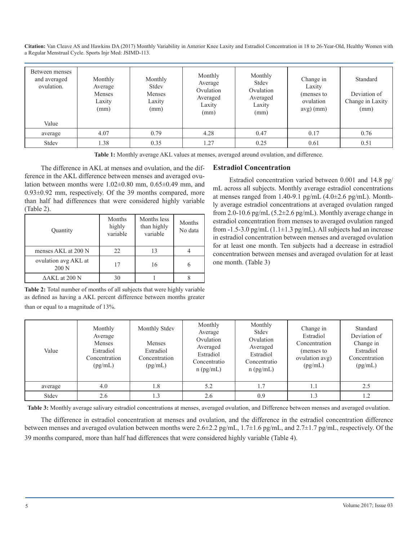**Citation:** Van Cleave AS and Hawkins DA (2017) Monthly Variability in Anterior Knee Laxity and Estradiol Concentration in 18 to 26-Year-Old, Healthy Women with a Regular Menstrual Cycle. Sports Injr Med: JSIMD-113.

| Between menses<br>and averaged<br>ovulation.<br>Value | Monthly<br>Average<br>Menses<br>Laxity<br>(mm) | Monthly<br>Stdev<br>Menses<br>Laxity<br>(mm) | Monthly<br>Average<br>Ovulation<br>Averaged<br>Laxity<br>(mm) | Monthly<br>Stdev<br>Ovulation<br>Averaged<br>Laxity<br>(mm) | Change in<br>Laxity<br>(menses to<br>ovulation<br>$avg)$ (mm) | Standard<br>Deviation of<br>Change in Laxity<br>(mm) |
|-------------------------------------------------------|------------------------------------------------|----------------------------------------------|---------------------------------------------------------------|-------------------------------------------------------------|---------------------------------------------------------------|------------------------------------------------------|
| average                                               | 4.07                                           | 0.79                                         | 4.28                                                          | 0.47                                                        | 0.17                                                          | 0.76                                                 |
| Stdev                                                 | 1.38                                           | 0.35                                         | 1.27                                                          | 0.25                                                        | 0.61                                                          | 0.51                                                 |

**Table 1:** Monthly average AKL values at menses, averaged around ovulation, and difference.

The difference in AKL at menses and ovulation, and the difference in the AKL difference between menses and averaged ovulation between months were 1.02±0.80 mm, 0.65±0.49 mm, and 0.93±0.92 mm, respectively. Of the 39 months compared, more than half had differences that were considered highly variable (Table 2).

| Quantity                      | Months<br>highly<br>variable | Months less<br>than highly<br>variable | Months<br>No data |
|-------------------------------|------------------------------|----------------------------------------|-------------------|
| menses AKL at 200 N           | 22                           | 13                                     |                   |
| ovulation avg AKL at<br>200 N | 17                           | 16                                     |                   |
| $\Delta AKL$ at 200 N         | 30                           |                                        |                   |

**Table 2:** Total number of months of all subjects that were highly variable as defined as having a AKL percent difference between months greater than or equal to a magnitude of 13%.

#### **Estradiol Concentration**

Estradiol concentration varied between 0.001 and 14.8 pg/ mL across all subjects. Monthly average estradiol concentrations at menses ranged from 1.40-9.1 pg/mL  $(4.0\pm2.6 \text{ pg/mL})$ . Monthly average estradiol concentrations at averaged ovulation ranged from 2.0-10.6 pg/mL (5.2±2.6 pg/mL). Monthly average change in estradiol concentration from menses to averaged ovulation ranged from  $-1.5-3.0$  pg/mL (1.1 $\pm$ 1.3 pg/mL). All subjects had an increase in estradiol concentration between menses and averaged ovulation for at least one month. Ten subjects had a decrease in estradiol concentration between menses and averaged ovulation for at least one month. (Table 3)

| Value   | Monthly<br>Average<br>Menses<br>Estradiol<br>Concentration<br>(pg/mL) | Monthly Stdev<br><b>Menses</b><br>Estradiol<br>Concentration<br>(pg/mL) | Monthly<br>Average<br>Ovulation<br>Averaged<br>Estradiol<br>Concentratio<br>$n$ (pg/mL) | Monthly<br>Stdev<br>Ovulation<br>Averaged<br>Estradiol<br>Concentratio<br>$n$ (pg/mL) | Change in<br>Estradiol<br>Concentration<br>(menses to<br>ovulation avg)<br>(pg/mL) | Standard<br>Deviation of<br>Change in<br>Estradiol<br>Concentration<br>(pg/mL) |
|---------|-----------------------------------------------------------------------|-------------------------------------------------------------------------|-----------------------------------------------------------------------------------------|---------------------------------------------------------------------------------------|------------------------------------------------------------------------------------|--------------------------------------------------------------------------------|
| average | 4.0                                                                   | 1.8                                                                     | 5.2                                                                                     | 1.7                                                                                   | 1.1                                                                                | 2.5                                                                            |
| Stdev   | 2.6                                                                   | 1.3                                                                     | 2.6                                                                                     | 0.9                                                                                   | 1.3                                                                                | 1.2                                                                            |

**Table 3:** Monthly average salivary estradiol concentrations at menses, averaged ovulation, and Difference between menses and averaged ovulation.

The difference in estradiol concentration at menses and ovulation, and the difference in the estradiol concentration difference between menses and averaged ovulation between months were 2.6±2.2 pg/mL, 1.7±1.6 pg/mL, and 2.7±1.7 pg/mL, respectively. Of the 39 months compared, more than half had differences that were considered highly variable (Table 4).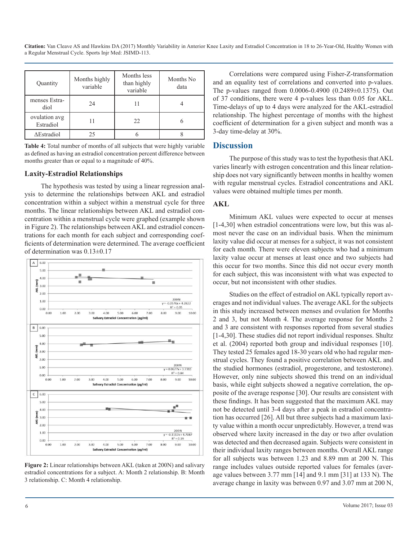| Quantity                   | Months highly<br>variable | Months less<br>than highly<br>variable | Months No<br>data |  |
|----------------------------|---------------------------|----------------------------------------|-------------------|--|
| menses Estra-<br>diol      | 24                        | 11                                     |                   |  |
| ovulation avg<br>Estradiol |                           | 22.                                    |                   |  |
| $\Delta$ Estradiol         | 25                        |                                        |                   |  |

**Table 4:** Total number of months of all subjects that were highly variable as defined as having an estradiol concentration percent difference between months greater than or equal to a magnitude of 40%.

#### **Laxity-Estradiol Relationships**

The hypothesis was tested by using a linear regression analysis to determine the relationships between AKL and estradiol concentration within a subject within a menstrual cycle for three months. The linear relationships between AKL and estradiol concentration within a menstrual cycle were graphed (example shown in Figure 2). The relationships between AKL and estradiol concentrations for each month for each subject and corresponding coefficients of determination were determined. The average coefficient of determination was 0.13±0.17



**Figure 2:** Linear relationships between AKL (taken at 200N) and salivary estradiol concentrations for a subject. A: Month 2 relationship. B: Month 3 relationship. C: Month 4 relationship.

Correlations were compared using Fisher-Z-transformation and an equality test of correlations and converted into p-values. The p-values ranged from 0.0006-0.4900 (0.2489±0.1375). Out of 37 conditions, there were 4 p-values less than 0.05 for AKL. Time-delays of up to 4 days were analyzed for the AKL-estradiol relationship. The highest percentage of months with the highest coefficient of determination for a given subject and month was a 3-day time-delay at 30%.

#### **Discussion**

The purpose of this study was to test the hypothesis that AKL varies linearly with estrogen concentration and this linear relationship does not vary significantly between months in healthy women with regular menstrual cycles. Estradiol concentrations and AKL values were obtained multiple times per month.

#### **AKL**

Minimum AKL values were expected to occur at menses [1-4,30] when estradiol concentrations were low, but this was almost never the case on an individual basis. When the minimum laxity value did occur at menses for a subject, it was not consistent for each month. There were eleven subjects who had a minimum laxity value occur at menses at least once and two subjects had this occur for two months. Since this did not occur every month for each subject, this was inconsistent with what was expected to occur, but not inconsistent with other studies.

Studies on the effect of estradiol on AKL typically report averages and not individual values. The average AKL for the subjects in this study increased between menses and ovulation for Months 2 and 3, but not Month 4. The average response for Months 2 and 3 are consistent with responses reported from several studies [1-4,30]. These studies did not report individual responses. Shultz et al. (2004) reported both group and individual responses [10]. They tested 25 females aged 18-30 years old who had regular menstrual cycles. They found a positive correlation between AKL and the studied hormones (estradiol, progesterone, and testosterone). However, only nine subjects showed this trend on an individual basis, while eight subjects showed a negative correlation, the opposite of the average response [30]. Our results are consistent with these findings. It has been suggested that the maximum AKL may not be detected until 3-4 days after a peak in estradiol concentration has occurred [26]. All but three subjects had a maximum laxity value within a month occur unpredictably. However, a trend was observed where laxity increased in the day or two after ovulation was detected and then decreased again. Subjects were consistent in their individual laxity ranges between months. Overall AKL range for all subjects was between 1.23 and 8.89 mm at 200 N. This range includes values outside reported values for females (average values between 3.77 mm [14] and 9.1 mm [31] at 133 N). The average change in laxity was between 0.97 and 3.07 mm at 200 N,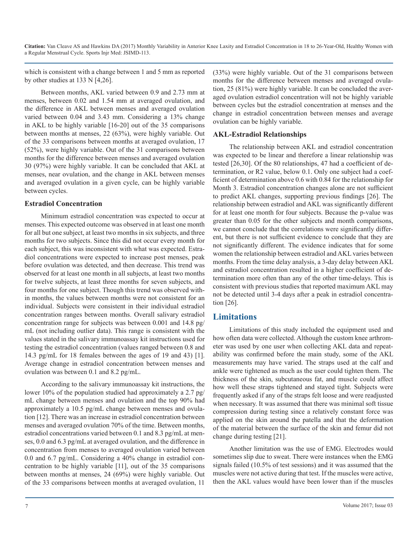which is consistent with a change between 1 and 5 mm as reported by other studies at 133 N [4,26].

Between months, AKL varied between 0.9 and 2.73 mm at menses, between 0.02 and 1.54 mm at averaged ovulation, and the difference in AKL between menses and averaged ovulation varied between 0.04 and 3.43 mm. Considering a 13% change in AKL to be highly variable [16-20] out of the 35 comparisons between months at menses, 22 (63%), were highly variable. Out of the 33 comparisons between months at averaged ovulation, 17 (52%), were highly variable. Out of the 31 comparisons between months for the difference between menses and averaged ovulation 30 (97%) were highly variable. It can be concluded that AKL at menses, near ovulation, and the change in AKL between menses and averaged ovulation in a given cycle, can be highly variable between cycles.

#### **Estradiol Concentration**

Minimum estradiol concentration was expected to occur at menses. This expected outcome was observed in at least one month for all but one subject, at least two months in six subjects, and three months for two subjects. Since this did not occur every month for each subject, this was inconsistent with what was expected. Estradiol concentrations were expected to increase post menses, peak before ovulation was detected, and then decrease. This trend was observed for at least one month in all subjects, at least two months for twelve subjects, at least three months for seven subjects, and four months for one subject. Though this trend was observed within months, the values between months were not consistent for an individual. Subjects were consistent in their individual estradiol concentration ranges between months. Overall salivary estradiol concentration range for subjects was between 0.001 and 14.8 pg/ mL (not including outlier data). This range is consistent with the values stated in the salivary immunoassay kit instructions used for testing the estradiol concentration (values ranged between 0.8 and 14.3 pg/mL for 18 females between the ages of 19 and 43) [1]. Average change in estradiol concentration between menses and ovulation was between 0.1 and 8.2 pg/mL.

According to the salivary immunoassay kit instructions, the lower 10% of the population studied had approximately a 2.7 pg/ mL change between menses and ovulation and the top 90% had approximately a 10.5 pg/mL change between menses and ovulation [12]. There was an increase in estradiol concentration between menses and averaged ovulation 70% of the time. Between months, estradiol concentrations varied between 0.1 and 8.3 pg/mL at menses, 0.0 and 6.3 pg/mL at averaged ovulation, and the difference in concentration from menses to averaged ovulation varied between 0.0 and 6.7 pg/mL. Considering a 40% change in estradiol concentration to be highly variable [11], out of the 35 comparisons between months at menses, 24 (69%) were highly variable. Out of the 33 comparisons between months at averaged ovulation, 11

(33%) were highly variable. Out of the 31 comparisons between months for the difference between menses and averaged ovulation, 25 (81%) were highly variable. It can be concluded the averaged ovulation estradiol concentration will not be highly variable between cycles but the estradiol concentration at menses and the change in estradiol concentration between menses and average ovulation can be highly variable.

#### **AKL-Estradiol Relationships**

The relationship between AKL and estradiol concentration was expected to be linear and therefore a linear relationship was tested [26,30]. Of the 80 relationships, 47 had a coefficient of determination, or R2 value, below 0.1. Only one subject had a coefficient of determination above 0.6 with 0.84 for the relationship for Month 3. Estradiol concentration changes alone are not sufficient to predict AKL changes, supporting previous findings [26]. The relationship between estradiol and AKL was significantly different for at least one month for four subjects. Because the p-value was greater than 0.05 for the other subjects and month comparisons, we cannot conclude that the correlations were significantly different, but there is not sufficient evidence to conclude that they are not significantly different. The evidence indicates that for some women the relationship between estradiol and AKL varies between months. From the time delay analysis, a 3-day delay between AKL and estradiol concentration resulted in a higher coefficient of determination more often than any of the other time-delays. This is consistent with previous studies that reported maximum AKL may not be detected until 3-4 days after a peak in estradiol concentration [26].

#### **Limitations**

Limitations of this study included the equipment used and how often data were collected. Although the custom knee arthrometer was used by one user when collecting AKL data and repeatability was confirmed before the main study, some of the AKL measurements may have varied. The straps used at the calf and ankle were tightened as much as the user could tighten them. The thickness of the skin, subcutaneous fat, and muscle could affect how well these straps tightened and stayed tight. Subjects were frequently asked if any of the straps felt loose and were readjusted when necessary. It was assumed that there was minimal soft tissue compression during testing since a relatively constant force was applied on the skin around the patella and that the deformation of the material between the surface of the skin and femur did not change during testing [21].

Another limitation was the use of EMG. Electrodes would sometimes slip due to sweat. There were instances when the EMG signals failed (10.5% of test sessions) and it was assumed that the muscles were not active during that test. If the muscles were active, then the AKL values would have been lower than if the muscles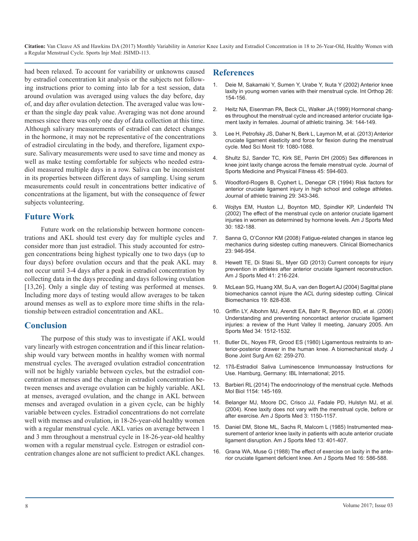had been relaxed. To account for variability or unknowns caused by estradiol concentration kit analysis or the subjects not following instructions prior to coming into lab for a test session, data around ovulation was averaged using values the day before, day of, and day after ovulation detection. The averaged value was lower than the single day peak value. Averaging was not done around menses since there was only one day of data collection at this time. Although salivary measurements of estradiol can detect changes in the hormone, it may not be representative of the concentrations of estradiol circulating in the body, and therefore, ligament exposure. Salivary measurements were used to save time and money as well as make testing comfortable for subjects who needed estradiol measured multiple days in a row. Saliva can be inconsistent in its properties between different days of sampling. Using serum measurements could result in concentrations better indicative of concentrations at the ligament, but with the consequence of fewer subjects volunteering.

#### **Future Work**

Future work on the relationship between hormone concentrations and AKL should test every day for multiple cycles and consider more than just estradiol. This study accounted for estrogen concentrations being highest typically one to two days (up to four days) before ovulation occurs and that the peak AKL may not occur until 3-4 days after a peak in estradiol concentration by collecting data in the days preceding and days following ovulation [13,26]. Only a single day of testing was performed at menses. Including more days of testing would allow averages to be taken around menses as well as to explore more time shifts in the relationship between estradiol concentration and AKL.

#### **Conclusion**

The purpose of this study was to investigate if AKL would vary linearly with estrogen concentration and if this linear relationship would vary between months in healthy women with normal menstrual cycles. The averaged ovulation estradiol concentration will not be highly variable between cycles, but the estradiol concentration at menses and the change in estradiol concentration between menses and average ovulation can be highly variable. AKL at menses, averaged ovulation, and the change in AKL between menses and averaged ovulation in a given cycle, can be highly variable between cycles. Estradiol concentrations do not correlate well with menses and ovulation, in 18-26-year-old healthy women with a regular menstrual cycle. AKL varies on average between 1 and 3 mm throughout a menstrual cycle in 18-26-year-old healthy women with a regular menstrual cycle. Estrogen or estradiol concentration changes alone are not sufficient to predict AKL changes.

#### **References**

- 1. [Deie M, Sakamaki Y, Sumen Y, Urabe Y, Ikuta Y \(2002\) Anterior knee](D:\PDF\JSIMD\JSIMD-113\knee laxity in young women varies with their menstrual cycle. Int Orthop) laxity in young women varies with their menstrual cycle. Int Orthop 26: [154-156.](D:\PDF\JSIMD\JSIMD-113\knee laxity in young women varies with their menstrual cycle. Int Orthop)
- 2. [Heitz NA, Eisenman PA, Beck CL, Walker JA \(1999\) Hormonal chang](https://www.ncbi.nlm.nih.gov/pmc/articles/PMC1322903/)es throughout the menstrual cycle and increased anterior cruciate liga[ment laxity in females. Journal of athletic training. 34: 144-149.](https://www.ncbi.nlm.nih.gov/pmc/articles/PMC1322903/)
- 3. [Lee H, Petrofsky JS, Daher N, Berk L, Laymon M, et al. \(2013\) Anterior](https://www.ncbi.nlm.nih.gov/pubmed/24287619)  cruciate ligament elasticity and force for flexion during the menstrual [cycle. Med Sci Monit 19: 1080-1088.](https://www.ncbi.nlm.nih.gov/pubmed/24287619)
- 4. [Shultz SJ, Sander TC, Kirk SE, Perrin DH \(2005\) Sex differences in](https://www.ncbi.nlm.nih.gov/pmc/articles/PMC1890029/)  knee joint laxity change across the female menstrual cycle. Journal of [Sports Medicine and Physical Fitness 45: 594-603.](https://www.ncbi.nlm.nih.gov/pmc/articles/PMC1890029/)
- 5. [Woodford-Rogers B, Cyphert L, Denegar CR \(1994\) Risk factors for](https://www.ncbi.nlm.nih.gov/pmc/articles/PMC1317810/)  anterior cruciate ligament injury in high school and college athletes[.](https://www.ncbi.nlm.nih.gov/pmc/articles/PMC1317810/)  [Journal of athletic training 29: 343-346.](https://www.ncbi.nlm.nih.gov/pmc/articles/PMC1317810/)
- 6. [Wojtys EM, Huston LJ, Boynton MD, Spindler KP, Lindenfeld TN](https://www.ncbi.nlm.nih.gov/pubmed/11912085) (2002) The effect of the menstrual cycle on anterior cruciate ligament [injuries in women as determined by hormone levels. Am J Sports Med](https://www.ncbi.nlm.nih.gov/pubmed/11912085)  [30: 182-188.](https://www.ncbi.nlm.nih.gov/pubmed/11912085)
- 7. [Sanna G, O'Connor KM \(2008\) Fatigue-related changes in stance leg](https://www.ncbi.nlm.nih.gov/pubmed/18468745)  mechanics during sidestep cutting maneuvers. Clinical Biomechanics [23: 946-954.](https://www.ncbi.nlm.nih.gov/pubmed/18468745)
- 8. [Hewett TE, Di Stasi SL, Myer GD \(2013\) Current concepts for injury](https://www.ncbi.nlm.nih.gov/pubmed/23041233)  prevention in athletes after anterior cruciate ligament reconstruction. [Am J Sports Med 41: 216-224.](https://www.ncbi.nlm.nih.gov/pubmed/23041233)
- 9. [McLean SG, Huang XM, Su A, van den Bogert AJ \(2004\) Sagittal plane](https://www.ncbi.nlm.nih.gov/pubmed/15342155)  biomechanics cannot injure the ACL during sidestep cutting. Clinical [Biomechanics 19: 828-838.](https://www.ncbi.nlm.nih.gov/pubmed/15342155)
- 10. [Griffin LY, Albohm MJ, Arendt EA, Bahr R, Beynnon BD, et al. \(2006\)](https://www.ncbi.nlm.nih.gov/pubmed/16905673) Understanding and preventing noncontact anterior cruciate ligament [injuries: a review of the Hunt Valley II meeting, January 2005. Am](https://www.ncbi.nlm.nih.gov/pubmed/16905673)  [Sports Med 34: 1512-1532.](https://www.ncbi.nlm.nih.gov/pubmed/16905673)
- 11. [Butler DL, Noyes FR, Grood ES \(1980\) Ligamentous restraints to an](https://www.ncbi.nlm.nih.gov/pubmed/7358757)terior-posterior drawer in the human knee. A biomechanical study. J [Bone Joint Surg Am 62: 259-270.](https://www.ncbi.nlm.nih.gov/pubmed/7358757)
- 12. [17ß-Estradiol Saliva Luminescence Immunoassay Instructions for](https://www.ibl-international.com/media/catalog/product/R/E/RE62119_IFU_en_Cortisol_Saliva_LUM_2015-01_sym3_1.pdf)  Use. Hamburg, Germany: IBL International; 2015.
- 13. [Barbieri RL \(2014\) The endocrinology of the menstrual cycle. Methods](https://www.ncbi.nlm.nih.gov/pubmed/24782009)  Mol Biol 1154: 145-169.
- 14. [Belanger MJ, Moore DC, Crisco JJ, Fadale PD, Hulstyn MJ, et al.](https://www.ncbi.nlm.nih.gov/pubmed/15262636) (2004). Knee laxity does not vary with the menstrual cycle, before or [after exercise. Am J Sports Med 3: 1150-1157.](https://www.ncbi.nlm.nih.gov/pubmed/15262636)
- 15. [Daniel DM, Stone ML, Sachs R, Malcom L \(1985\) Instrumented mea](D:\PDF\JSIMD\JSIMD-113\Instrumented measurement of anterior knee laxity in patients with acute anterior cruciate ligament disruption)surement of anterior knee laxity in patients with acute anterior cruciate [ligament disruption. Am J Sports Med 13: 401-407.](D:\PDF\JSIMD\JSIMD-113\Instrumented measurement of anterior knee laxity in patients with acute anterior cruciate ligament disruption)
- 16. [Grana WA, Muse G \(1988\) The effect of exercise on laxity in the ante](https://www.ncbi.nlm.nih.gov/pubmed/3239615)rior cruciate ligament deficient knee. Am J Sports Med 16: 586-588[.](https://www.ncbi.nlm.nih.gov/pubmed/3239615)